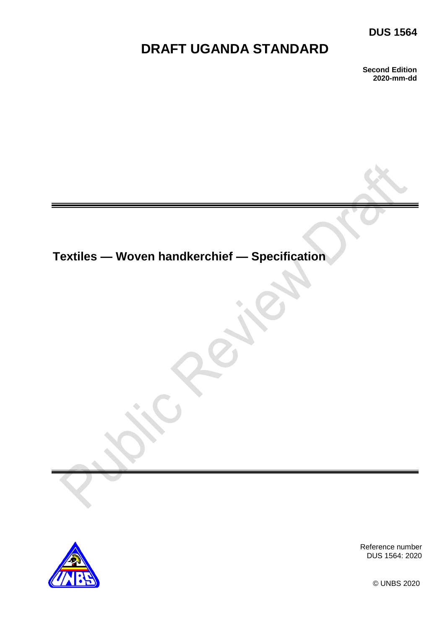### **DUS 1564**

# **DRAFT UGANDA STANDARD**

**Second Edition 2020-mm-dd**

# **Textiles — Woven handkerchief — Specification**



Reference number DUS 1564: 2020

© UNBS 2020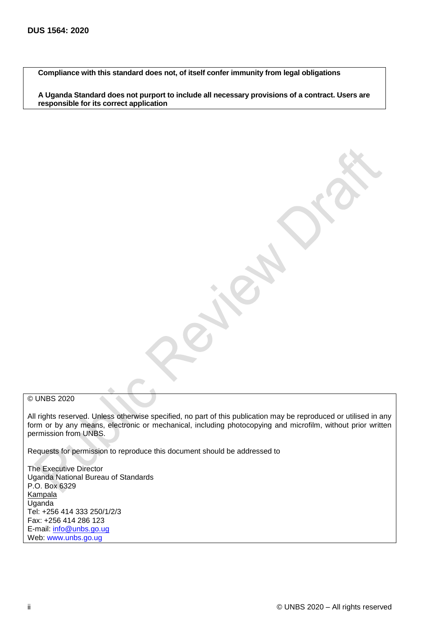**Compliance with this standard does not, of itself confer immunity from legal obligations**

**A Uganda Standard does not purport to include all necessary provisions of a contract. Users are responsible for its correct application**

#### © UNBS 2020

All rights reserved. Unless otherwise specified, no part of this publication may be reproduced or utilised in any form or by any means, electronic or mechanical, including photocopying and microfilm, without prior written permission from UNBS.

Requests for permission to reproduce this document should be addressed to

The Executive Director Uganda National Bureau of Standards P.O. Box 6329 **Kampala** Uganda Tel: +256 414 333 250/1/2/3 Fax: +256 414 286 123 E-mail: [info@unbs.go.ug](mailto:info@unbs.go.ug) Web: www.unbs.go.ug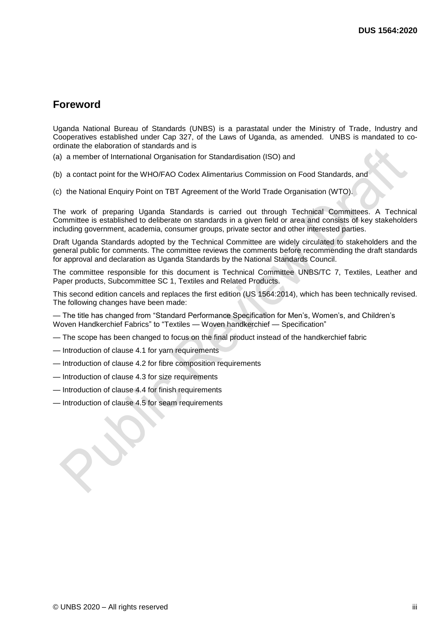### **Foreword**

Uganda National Bureau of Standards (UNBS) is a parastatal under the Ministry of Trade, Industry and Cooperatives established under Cap 327, of the Laws of Uganda, as amended. UNBS is mandated to coordinate the elaboration of standards and is

- (a) a member of International Organisation for Standardisation (ISO) and
- (b) a contact point for the WHO/FAO Codex Alimentarius Commission on Food Standards, and
- (c) the National Enquiry Point on TBT Agreement of the World Trade Organisation (WTO).

The work of preparing Uganda Standards is carried out through Technical Committees. A Technical Committee is established to deliberate on standards in a given field or area and consists of key stakeholders including government, academia, consumer groups, private sector and other interested parties.

Draft Uganda Standards adopted by the Technical Committee are widely circulated to stakeholders and the general public for comments. The committee reviews the comments before recommending the draft standards for approval and declaration as Uganda Standards by the National Standards Council.

The committee responsible for this document is Technical Committee UNBS/TC 7, Textiles, Leather and Paper products, Subcommittee SC 1, Textiles and Related Products.

This second edition cancels and replaces the first edition (US 1564:2014), which has been technically revised. The following changes have been made:

— The title has changed from "Standard Performance Specification for Men's, Women's, and Children's Woven Handkerchief Fabrics" to "Textiles — Woven handkerchief — Specification"

- The scope has been changed to focus on the final product instead of the handkerchief fabric
- Introduction of clause 4.1 for yarn requirements
- Introduction of clause 4.2 for fibre composition requirements
- Introduction of clause 4.3 for size requirements
- Introduction of clause 4.4 for finish requirements
- Introduction of clause 4.5 for seam requirements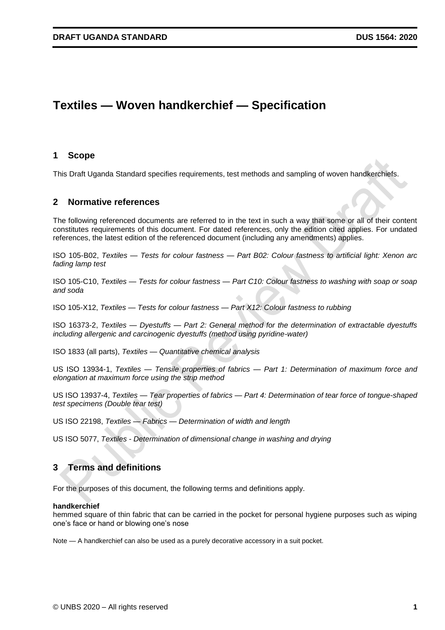## **Textiles — Woven handkerchief — Specification**

#### **1 Scope**

This Draft Uganda Standard specifies requirements, test methods and sampling of woven handkerchiefs.

#### **2 Normative references**

The following referenced documents are referred to in the text in such a way that some or all of their content constitutes requirements of this document. For dated references, only the edition cited applies. For undated references, the latest edition of the referenced document (including any amendments) applies.

ISO 105-B02, *Textiles — Tests for colour fastness — Part B02: Colour fastness to artificial light: Xenon arc fading lamp test*

ISO 105-C10, *Textiles — Tests for colour fastness — Part C10: Colour fastness to washing with soap or soap and soda*

ISO 105-X12, *Textiles — Tests for colour fastness — Part X12: Colour fastness to rubbing*

ISO 16373-2, *Textiles — Dyestuffs — Part 2: General method for the determination of extractable dyestuffs including allergenic and carcinogenic dyestuffs (method using pyridine-water)*

ISO 1833 (all parts), *Textiles — Quantitative chemical analysis*

US ISO 13934-1, *Textiles — Tensile properties of fabrics — Part 1: Determination of maximum force and elongation at maximum force using the strip method*

US ISO 13937-4, *Textiles — Tear properties of fabrics — Part 4: Determination of tear force of tongue-shaped test specimens (Double tear test)*

US ISO 22198, *Textiles — Fabrics — Determination of width and length*

US ISO 5077, *Textiles - Determination of dimensional change in washing and drying*

#### **3 Terms and definitions**

For the purposes of this document, the following terms and definitions apply.

#### **handkerchief**

hemmed square of thin fabric that can be carried in the pocket for personal hygiene purposes such as wiping one's face or hand or blowing one's nose

Note — A handkerchief can also be used as a purely decorative accessory in a suit pocket.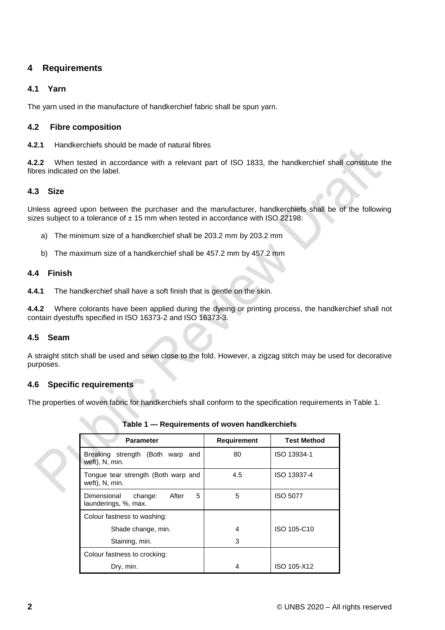#### **4 Requirements**

#### **4.1 Yarn**

The yarn used in the manufacture of handkerchief fabric shall be spun yarn.

#### **4.2 Fibre composition**

**4.2.1** Handkerchiefs should be made of natural fibres

**4.2.2** When tested in accordance with a relevant part of ISO 1833, the handkerchief shall constitute the fibres indicated on the label.

#### **4.3 Size**

Unless agreed upon between the purchaser and the manufacturer, handkerchiefs shall be of the following sizes subject to a tolerance of  $\pm$  15 mm when tested in accordance with ISO 22198:

- a) The minimum size of a handkerchief shall be 203.2 mm by 203.2 mm
- b) The maximum size of a handkerchief shall be 457.2 mm by 457.2 mm

#### **4.4 Finish**

**4.4.1** The handkerchief shall have a soft finish that is gentle on the skin.

**4.4.2** Where colorants have been applied during the dyeing or printing process, the handkerchief shall not contain dyestuffs specified in ISO 16373-2 and ISO 16373-3.

#### **4.5 Seam**

A straight stitch shall be used and sewn close to the fold. However, a zigzag stitch may be used for decorative purposes.

#### **4.6 Specific requirements**

The properties of woven fabric for handkerchiefs shall conform to the specification requirements in Table 1.

| <b>Parameter</b>                                             | <b>Requirement</b> | <b>Test Method</b> |
|--------------------------------------------------------------|--------------------|--------------------|
| Breaking strength (Both warp and<br>weft), N, min.           | 80                 | ISO 13934-1        |
| Tongue tear strength (Both warp and<br>weft), N, min.        | 4.5                | ISO 13937-4        |
| After<br>5<br>Dimensional<br>change:<br>launderings, %, max. | 5                  | <b>ISO 5077</b>    |
| Colour fastness to washing:                                  |                    |                    |
| Shade change, min.                                           | 4                  | ISO 105-C10        |
| Staining, min.                                               | 3                  |                    |
| Colour fastness to crocking:                                 |                    |                    |
| Dry, min.                                                    | 4                  | ISO 105-X12        |

**Table 1 — Requirements of woven handkerchiefs**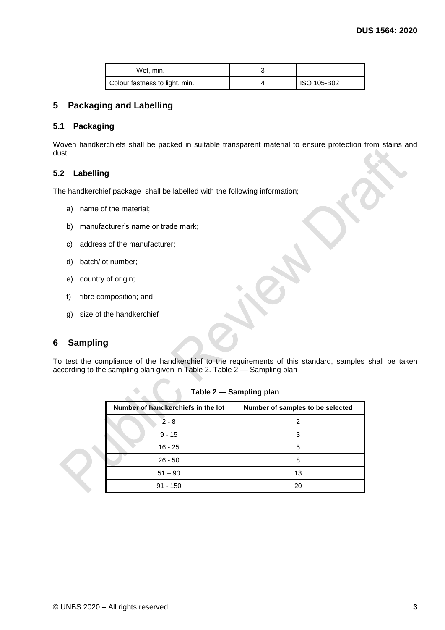| Wet. min.                      |             |
|--------------------------------|-------------|
| Colour fastness to light, min. | ISO 105-B02 |

#### **5 Packaging and Labelling**

#### **5.1 Packaging**

Woven handkerchiefs shall be packed in suitable transparent material to ensure protection from stains and dust

#### **5.2 Labelling**

The handkerchief package shall be labelled with the following information;

- a) name of the material;
- b) manufacturer's name or trade mark;

 $\overline{\mathcal{L}}$ 

- c) address of the manufacturer;
- d) batch/lot number;
- e) country of origin;
- f) fibre composition; and
- g) size of the handkerchief

#### **6 Sampling**

To test the compliance of the handkerchief to the requirements of this standard, samples shall be taken according to the sampling plan given in Table 2. Table 2 — Sampling plan

| Number of handkerchiefs in the lot | Number of samples to be selected |
|------------------------------------|----------------------------------|
| $2 - 8$                            | 2                                |
| $9 - 15$                           |                                  |
| $16 - 25$                          | 5                                |
| $26 - 50$                          | 8                                |
| $51 - 90$                          | 13                               |
| $91 - 150$                         | 20                               |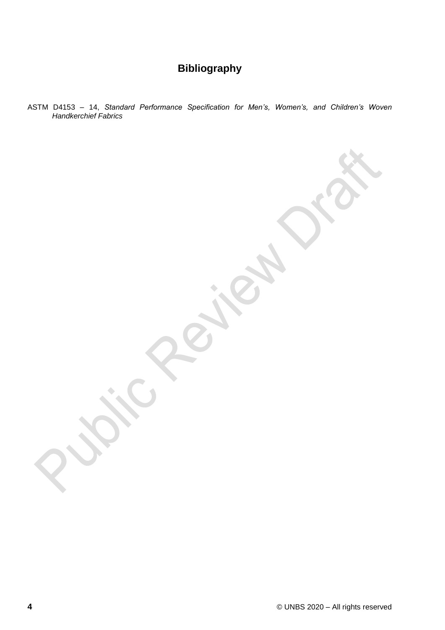## **Bibliography**

ASTM D4153 – 14, *Standard Performance Specification for Men's, Women's, and Children's Woven Handkerchief Fabrics*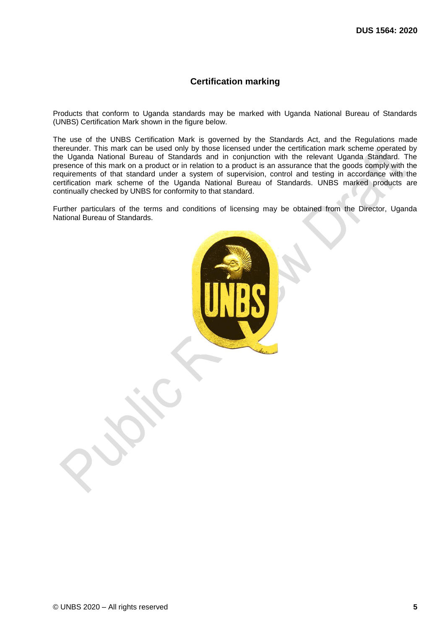#### **Certification marking**

Products that conform to Uganda standards may be marked with Uganda National Bureau of Standards (UNBS) Certification Mark shown in the figure below.

The use of the UNBS Certification Mark is governed by the Standards Act, and the Regulations made thereunder. This mark can be used only by those licensed under the certification mark scheme operated by the Uganda National Bureau of Standards and in conjunction with the relevant Uganda Standard. The presence of this mark on a product or in relation to a product is an assurance that the goods comply with the requirements of that standard under a system of supervision, control and testing in accordance with the certification mark scheme of the Uganda National Bureau of Standards. UNBS marked products are continually checked by UNBS for conformity to that standard.

Further particulars of the terms and conditions of licensing may be obtained from the Director, Uganda National Bureau of Standards.